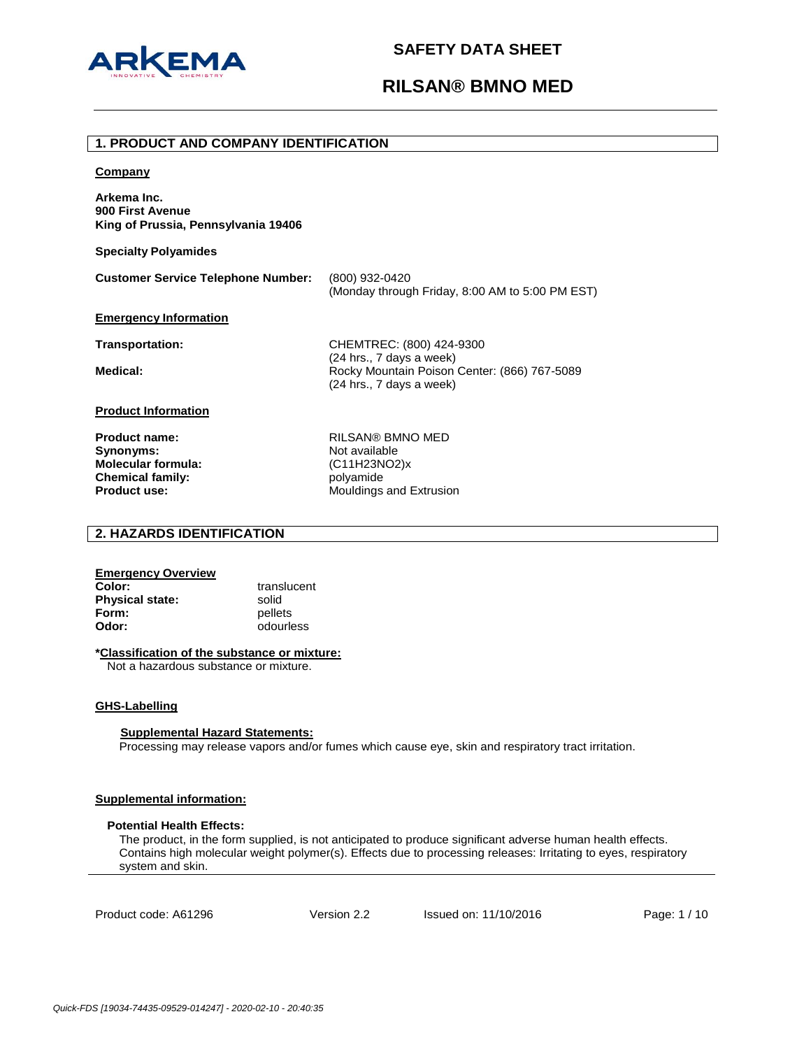

# **RILSAN® BMNO MED**

#### **1. PRODUCT AND COMPANY IDENTIFICATION**

#### **Company**

**Arkema Inc. 900 First Avenue King of Prussia, Pennsylvania 19406**

**Specialty Polyamides**

| <b>Customer Service Telephone Number:</b> | (800) 932-0420                                  |
|-------------------------------------------|-------------------------------------------------|
|                                           | (Monday through Friday, 8:00 AM to 5:00 PM EST) |

#### **Emergency Information**

**Transportation:** CHEMTREC: (800) 424-9300 (24 hrs., 7 days a week) Medical: Medical: Rocky Mountain Poison Center: (866) 767-5089 (24 hrs., 7 days a week)

**Product Information**

**Synonyms:** Not available **Molecular formula:** (C11H23NO2)x **Chemical family:** entity below polyamide<br> **Product use:** Mouldings

**Product name:** RILSAN® BMNO MED **Mouldings and Extrusion** 

## **2. HAZARDS IDENTIFICATION**

| <b>Emergency Overview</b> |             |
|---------------------------|-------------|
| Color:                    | translucent |
| <b>Physical state:</b>    | solid       |
| Form:                     | pellets     |
| Odor:                     | odourless   |

## **\*Classification of the substance or mixture:**

Not a hazardous substance or mixture.

#### **GHS-Labelling**

#### **Supplemental Hazard Statements:**

Processing may release vapors and/or fumes which cause eye, skin and respiratory tract irritation.

#### **Supplemental information:**

## **Potential Health Effects:**

The product, in the form supplied, is not anticipated to produce significant adverse human health effects. Contains high molecular weight polymer(s). Effects due to processing releases: Irritating to eyes, respiratory system and skin.

Product code: A61296 Version 2.2 Issued on: 11/10/2016 Page: 1 / 10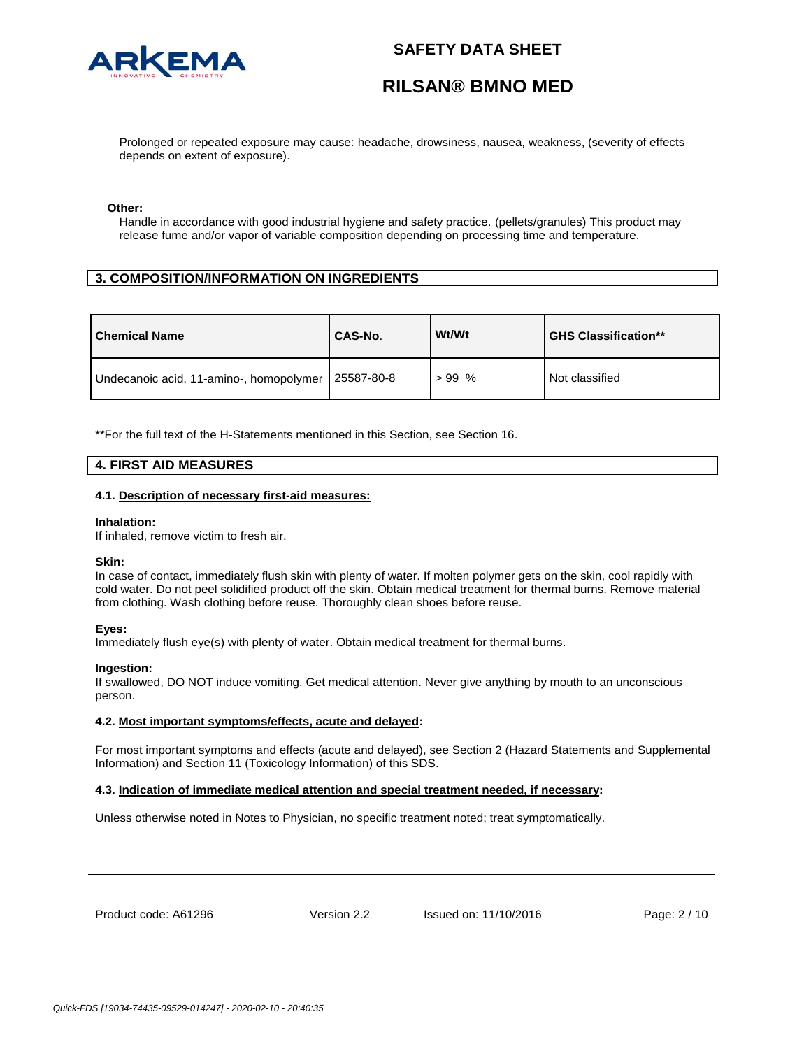



Prolonged or repeated exposure may cause: headache, drowsiness, nausea, weakness, (severity of effects depends on extent of exposure).

#### **Other:**

Handle in accordance with good industrial hygiene and safety practice. (pellets/granules) This product may release fume and/or vapor of variable composition depending on processing time and temperature.

## **3. COMPOSITION/INFORMATION ON INGREDIENTS**

| <b>Chemical Name</b>                    | <b>CAS-No.</b> | Wt/Wt   | <b>GHS Classification**</b> |
|-----------------------------------------|----------------|---------|-----------------------------|
| Undecanoic acid, 11-amino-, homopolymer | 25587-80-8     | $>99\%$ | Not classified              |

\*\*For the full text of the H-Statements mentioned in this Section, see Section 16.

## **4. FIRST AID MEASURES**

#### **4.1. Description of necessary first-aid measures:**

#### **Inhalation:**

If inhaled, remove victim to fresh air.

#### **Skin:**

In case of contact, immediately flush skin with plenty of water. If molten polymer gets on the skin, cool rapidly with cold water. Do not peel solidified product off the skin. Obtain medical treatment for thermal burns. Remove material from clothing. Wash clothing before reuse. Thoroughly clean shoes before reuse.

#### **Eyes:**

Immediately flush eye(s) with plenty of water. Obtain medical treatment for thermal burns.

#### **Ingestion:**

If swallowed, DO NOT induce vomiting. Get medical attention. Never give anything by mouth to an unconscious person.

#### **4.2. Most important symptoms/effects, acute and delayed:**

For most important symptoms and effects (acute and delayed), see Section 2 (Hazard Statements and Supplemental Information) and Section 11 (Toxicology Information) of this SDS.

#### **4.3. Indication of immediate medical attention and special treatment needed, if necessary:**

Unless otherwise noted in Notes to Physician, no specific treatment noted; treat symptomatically.

Product code: A61296 Version 2.2 Issued on: 11/10/2016 Page: 2 / 10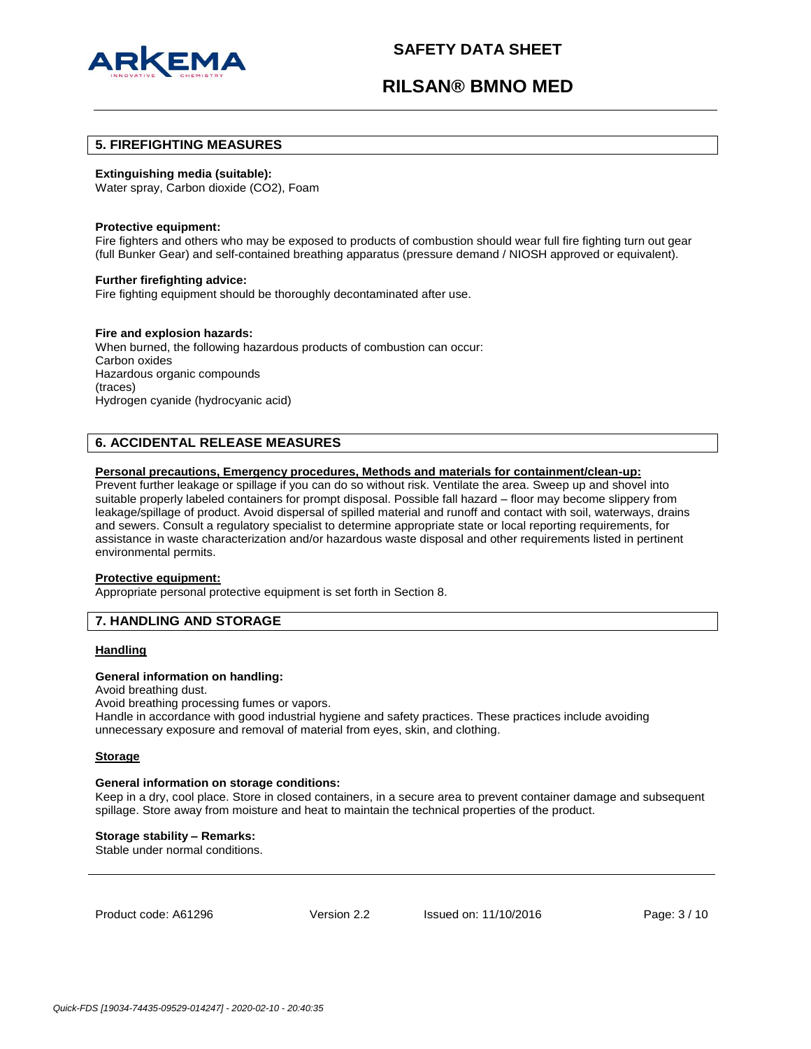

# **RILSAN® BMNO MED**

## **5. FIREFIGHTING MEASURES**

#### **Extinguishing media (suitable):**

Water spray, Carbon dioxide (CO2), Foam

#### **Protective equipment:**

Fire fighters and others who may be exposed to products of combustion should wear full fire fighting turn out gear (full Bunker Gear) and self-contained breathing apparatus (pressure demand / NIOSH approved or equivalent).

#### **Further firefighting advice:**

Fire fighting equipment should be thoroughly decontaminated after use.

#### **Fire and explosion hazards:**

When burned, the following hazardous products of combustion can occur: Carbon oxides Hazardous organic compounds (traces) Hydrogen cyanide (hydrocyanic acid)

#### **6. ACCIDENTAL RELEASE MEASURES**

#### **Personal precautions, Emergency procedures, Methods and materials for containment/clean-up:**

Prevent further leakage or spillage if you can do so without risk. Ventilate the area. Sweep up and shovel into suitable properly labeled containers for prompt disposal. Possible fall hazard – floor may become slippery from leakage/spillage of product. Avoid dispersal of spilled material and runoff and contact with soil, waterways, drains and sewers. Consult a regulatory specialist to determine appropriate state or local reporting requirements, for assistance in waste characterization and/or hazardous waste disposal and other requirements listed in pertinent environmental permits.

#### **Protective equipment:**

Appropriate personal protective equipment is set forth in Section 8.

## **7. HANDLING AND STORAGE**

#### **Handling**

#### **General information on handling:**

Avoid breathing dust.

Avoid breathing processing fumes or vapors.

Handle in accordance with good industrial hygiene and safety practices. These practices include avoiding unnecessary exposure and removal of material from eyes, skin, and clothing.

#### **Storage**

#### **General information on storage conditions:**

Keep in a dry, cool place. Store in closed containers, in a secure area to prevent container damage and subsequent spillage. Store away from moisture and heat to maintain the technical properties of the product.

#### **Storage stability – Remarks:**

Stable under normal conditions.

Product code: A61296 Version 2.2 Issued on: 11/10/2016 Page: 3 / 10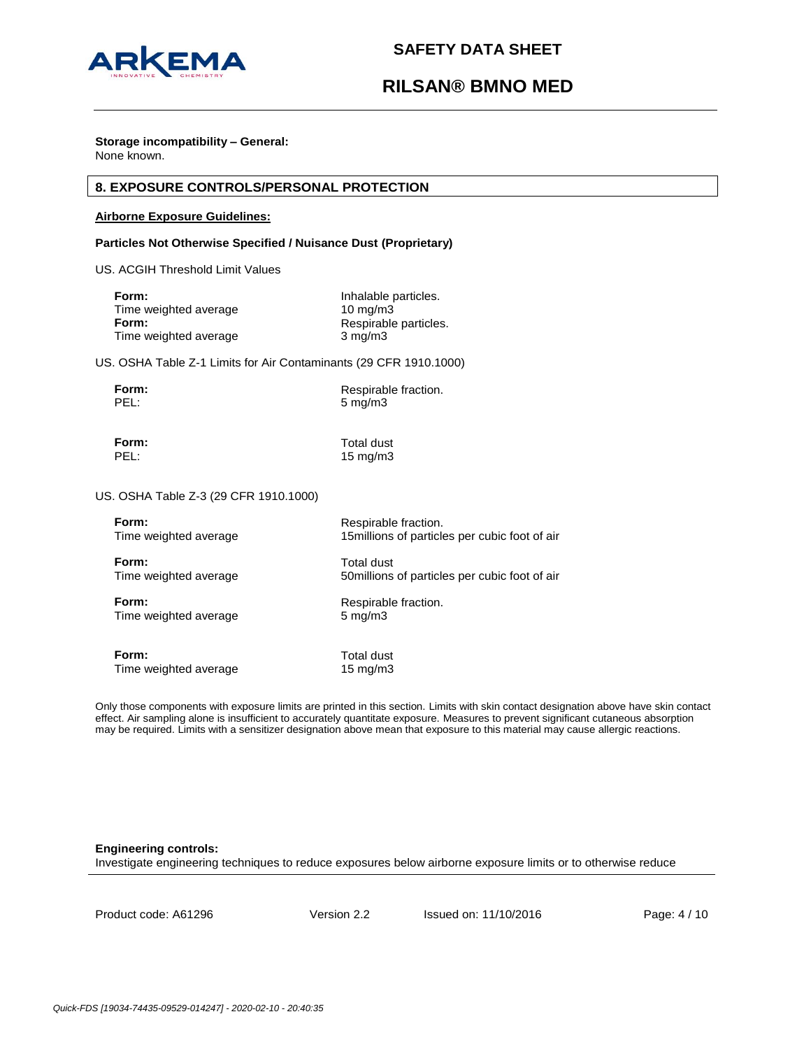

#### **Storage incompatibility – General:** None known.

## **8. EXPOSURE CONTROLS/PERSONAL PROTECTION**

### **Airborne Exposure Guidelines:**

#### **Particles Not Otherwise Specified / Nuisance Dust (Proprietary)**

US. ACGIH Threshold Limit Values

| Form:                 | Inhalable particles.  |
|-----------------------|-----------------------|
| Time weighted average | $10 \text{ mg/m}$     |
| Form:                 | Respirable particles. |
| Time weighted average | $3 \text{ mg/m}$      |

US. OSHA Table Z-1 Limits for Air Contaminants (29 CFR 1910.1000)

**Form:** Respirable fraction.<br> **PEL:** 5 mg/m3 5 mg/m3

**Form:** Total dust<br> **PEL:** 15 ma/m3 15 mg/m3

US. OSHA Table Z-3 (29 CFR 1910.1000)

| Form:                 | Respirable fraction.                           |
|-----------------------|------------------------------------------------|
| Time weighted average | 15 millions of particles per cubic foot of air |
| Form:                 | Total dust                                     |
| Time weighted average | 50 millions of particles per cubic foot of air |
| Form:                 | Respirable fraction.                           |
| Time weighted average | $5 \text{ mg/m}$                               |
| Form:                 | Total dust                                     |
| Time weighted average | $15 \text{ mg/m}$                              |

Only those components with exposure limits are printed in this section. Limits with skin contact designation above have skin contact effect. Air sampling alone is insufficient to accurately quantitate exposure. Measures to prevent significant cutaneous absorption may be required. Limits with a sensitizer designation above mean that exposure to this material may cause allergic reactions.

#### **Engineering controls:**

Investigate engineering techniques to reduce exposures below airborne exposure limits or to otherwise reduce

Product code: A61296 Version 2.2 Issued on: 11/10/2016 Page: 4 / 10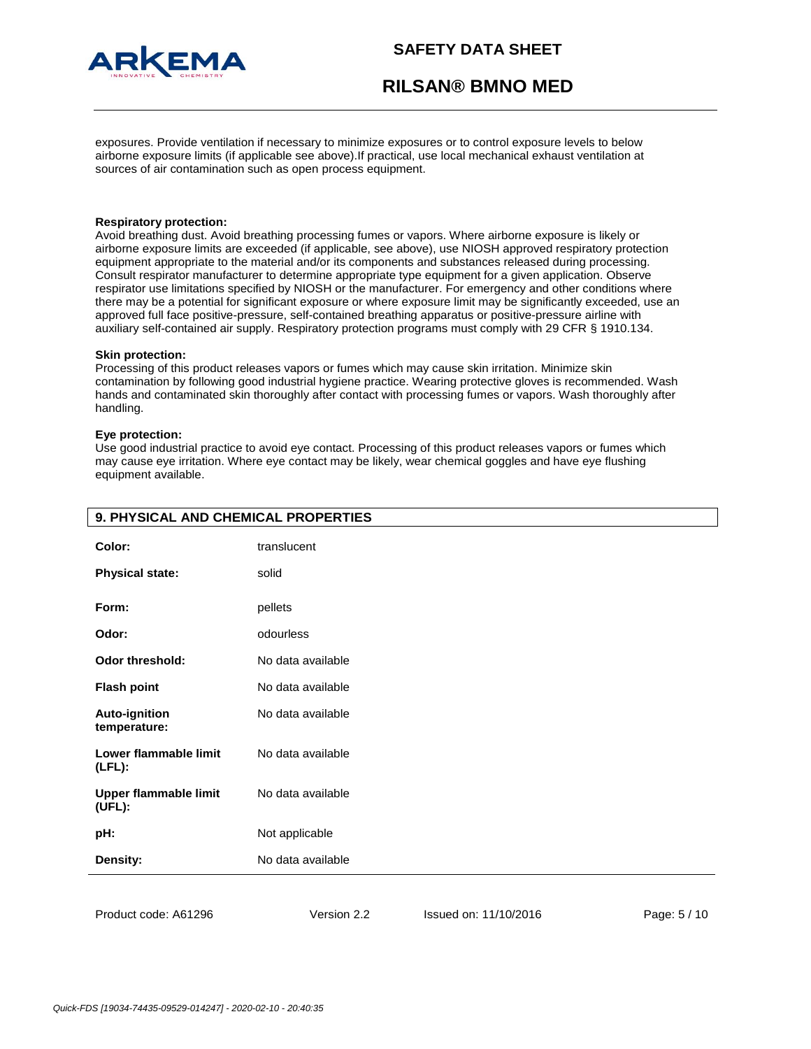

exposures. Provide ventilation if necessary to minimize exposures or to control exposure levels to below airborne exposure limits (if applicable see above).If practical, use local mechanical exhaust ventilation at sources of air contamination such as open process equipment.

#### **Respiratory protection:**

Avoid breathing dust. Avoid breathing processing fumes or vapors. Where airborne exposure is likely or airborne exposure limits are exceeded (if applicable, see above), use NIOSH approved respiratory protection equipment appropriate to the material and/or its components and substances released during processing. Consult respirator manufacturer to determine appropriate type equipment for a given application. Observe respirator use limitations specified by NIOSH or the manufacturer. For emergency and other conditions where there may be a potential for significant exposure or where exposure limit may be significantly exceeded, use an approved full face positive-pressure, self-contained breathing apparatus or positive-pressure airline with auxiliary self-contained air supply. Respiratory protection programs must comply with 29 CFR § 1910.134.

#### **Skin protection:**

Processing of this product releases vapors or fumes which may cause skin irritation. Minimize skin contamination by following good industrial hygiene practice. Wearing protective gloves is recommended. Wash hands and contaminated skin thoroughly after contact with processing fumes or vapors. Wash thoroughly after handling.

#### **Eye protection:**

Use good industrial practice to avoid eye contact. Processing of this product releases vapors or fumes which may cause eye irritation. Where eye contact may be likely, wear chemical goggles and have eye flushing equipment available.

| Color:                                 | translucent       |
|----------------------------------------|-------------------|
| <b>Physical state:</b>                 | solid             |
| Form:                                  | pellets           |
| Odor:                                  | odourless         |
| <b>Odor threshold:</b>                 | No data available |
| <b>Flash point</b>                     | No data available |
| Auto-ignition<br>temperature:          | No data available |
| Lower flammable limit<br>$(LFL)$ :     | No data available |
| <b>Upper flammable limit</b><br>(UFL): | No data available |
| pH:                                    | Not applicable    |
| Density:                               | No data available |
|                                        |                   |

## **9. PHYSICAL AND CHEMICAL PROPERTIES**

Product code: A61296 Version 2.2 Issued on: 11/10/2016 Page: 5 / 10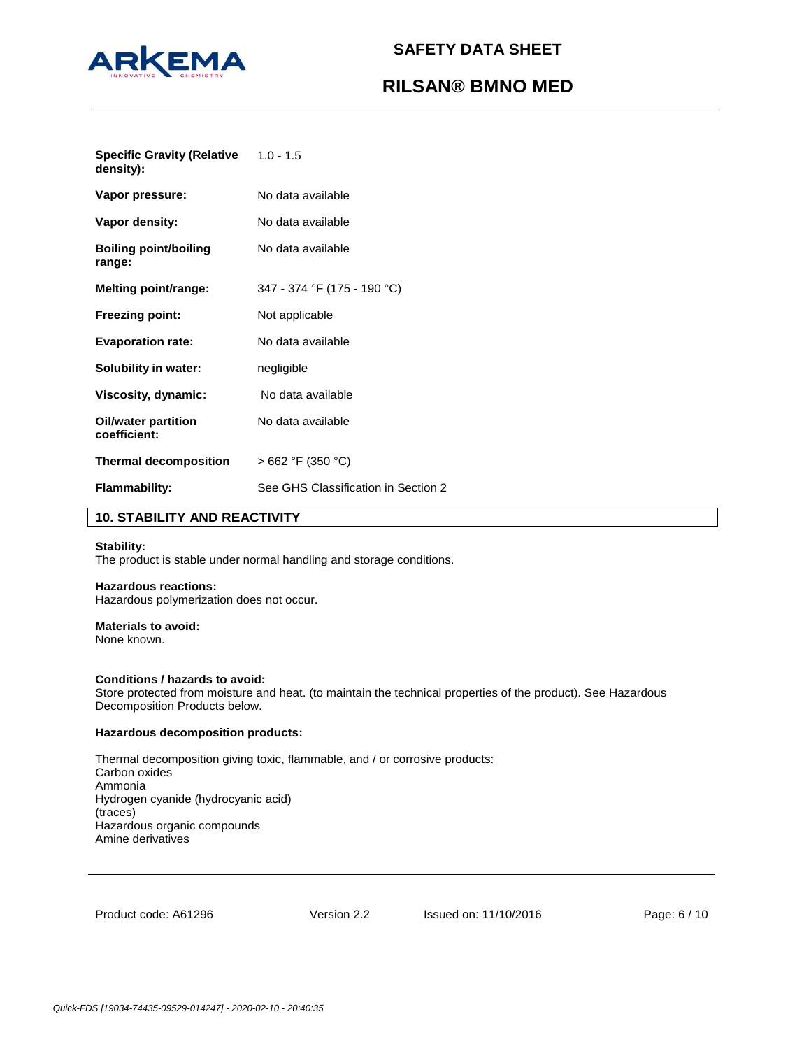

**Specific Gravity (Relative density):** 1.0 - 1.5

| Vapor pressure:                            | No data available                   |
|--------------------------------------------|-------------------------------------|
| Vapor density:                             | No data available                   |
| <b>Boiling point/boiling</b><br>range:     | No data available                   |
| <b>Melting point/range:</b>                | 347 - 374 °F (175 - 190 °C)         |
| <b>Freezing point:</b>                     | Not applicable                      |
| <b>Evaporation rate:</b>                   | No data available                   |
| Solubility in water:                       | negligible                          |
| Viscosity, dynamic:                        | No data available                   |
| <b>Oil/water partition</b><br>coefficient: | No data available                   |
| <b>Thermal decomposition</b>               | $>662$ °F (350 °C)                  |
| <b>Flammability:</b>                       | See GHS Classification in Section 2 |

## **10. STABILITY AND REACTIVITY**

## **Stability:**

The product is stable under normal handling and storage conditions.

## **Hazardous reactions:**

Hazardous polymerization does not occur.

#### **Materials to avoid:**

None known.

## **Conditions / hazards to avoid:**

Store protected from moisture and heat. (to maintain the technical properties of the product). See Hazardous Decomposition Products below.

### **Hazardous decomposition products:**

Thermal decomposition giving toxic, flammable, and / or corrosive products: Carbon oxides Ammonia Hydrogen cyanide (hydrocyanic acid) (traces) Hazardous organic compounds Amine derivatives

Product code: A61296 Version 2.2 Issued on: 11/10/2016 Page: 6 / 10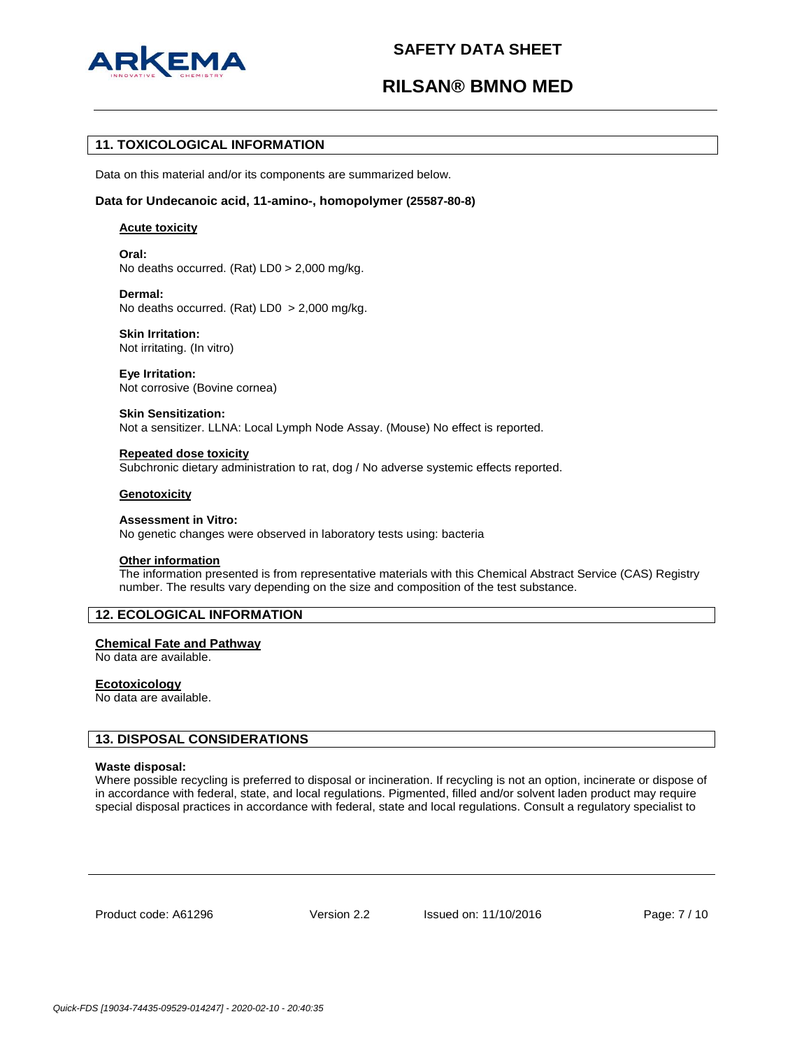

# **RILSAN® BMNO MED**

## **11. TOXICOLOGICAL INFORMATION**

Data on this material and/or its components are summarized below.

#### **Data for Undecanoic acid, 11-amino-, homopolymer (25587-80-8)**

#### **Acute toxicity**

**Oral:** No deaths occurred. (Rat) LD0 > 2,000 mg/kg.

**Dermal:** No deaths occurred. (Rat) LD0 > 2,000 mg/kg.

**Skin Irritation:** Not irritating. (In vitro)

**Eye Irritation:** Not corrosive (Bovine cornea)

**Skin Sensitization:** Not a sensitizer. LLNA: Local Lymph Node Assay. (Mouse) No effect is reported.

**Repeated dose toxicity** Subchronic dietary administration to rat, dog / No adverse systemic effects reported.

#### **Genotoxicity**

**Assessment in Vitro:** No genetic changes were observed in laboratory tests using: bacteria

### **Other information**

The information presented is from representative materials with this Chemical Abstract Service (CAS) Registry number. The results vary depending on the size and composition of the test substance.

## **12. ECOLOGICAL INFORMATION**

## **Chemical Fate and Pathway**

No data are available.

#### **Ecotoxicology**

No data are available.

### **13. DISPOSAL CONSIDERATIONS**

#### **Waste disposal:**

Where possible recycling is preferred to disposal or incineration. If recycling is not an option, incinerate or dispose of in accordance with federal, state, and local regulations. Pigmented, filled and/or solvent laden product may require special disposal practices in accordance with federal, state and local regulations. Consult a regulatory specialist to

Product code: A61296 Version 2.2 Issued on: 11/10/2016 Page: 7 / 10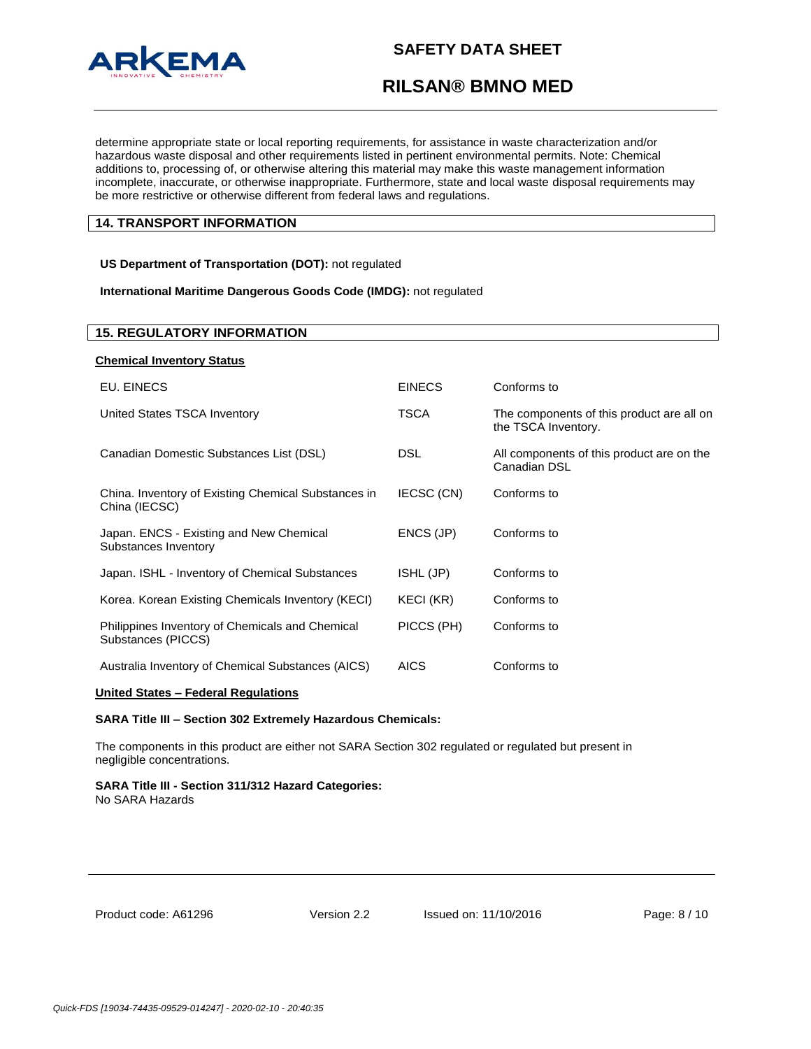

# **RILSAN® BMNO MED**

determine appropriate state or local reporting requirements, for assistance in waste characterization and/or hazardous waste disposal and other requirements listed in pertinent environmental permits. Note: Chemical additions to, processing of, or otherwise altering this material may make this waste management information incomplete, inaccurate, or otherwise inappropriate. Furthermore, state and local waste disposal requirements may be more restrictive or otherwise different from federal laws and regulations.

## **14. TRANSPORT INFORMATION**

**US Department of Transportation (DOT):** not regulated

**International Maritime Dangerous Goods Code (IMDG):** not regulated

## **15. REGULATORY INFORMATION**

| <b>Chemical Inventory Status</b>                                      |               |                                                                  |
|-----------------------------------------------------------------------|---------------|------------------------------------------------------------------|
| EU. EINECS                                                            | <b>EINECS</b> | Conforms to                                                      |
| United States TSCA Inventory                                          | <b>TSCA</b>   | The components of this product are all on<br>the TSCA Inventory. |
| Canadian Domestic Substances List (DSL)                               | DSL           | All components of this product are on the<br>Canadian DSL        |
| China. Inventory of Existing Chemical Substances in<br>China (IECSC)  | IECSC (CN)    | Conforms to                                                      |
| Japan. ENCS - Existing and New Chemical<br>Substances Inventory       | ENCS (JP)     | Conforms to                                                      |
| Japan. ISHL - Inventory of Chemical Substances                        | ISHL (JP)     | Conforms to                                                      |
| Korea. Korean Existing Chemicals Inventory (KECI)                     | KECI (KR)     | Conforms to                                                      |
| Philippines Inventory of Chemicals and Chemical<br>Substances (PICCS) | PICCS (PH)    | Conforms to                                                      |
| Australia Inventory of Chemical Substances (AICS)                     | <b>AICS</b>   | Conforms to                                                      |

## **United States – Federal Regulations**

#### **SARA Title III – Section 302 Extremely Hazardous Chemicals:**

The components in this product are either not SARA Section 302 regulated or regulated but present in negligible concentrations.

## **SARA Title III - Section 311/312 Hazard Categories:**

No SARA Hazards

| Product code: A61296 |  |
|----------------------|--|
|----------------------|--|

Version 2.2 Issued on: 11/10/2016 Page: 8 / 10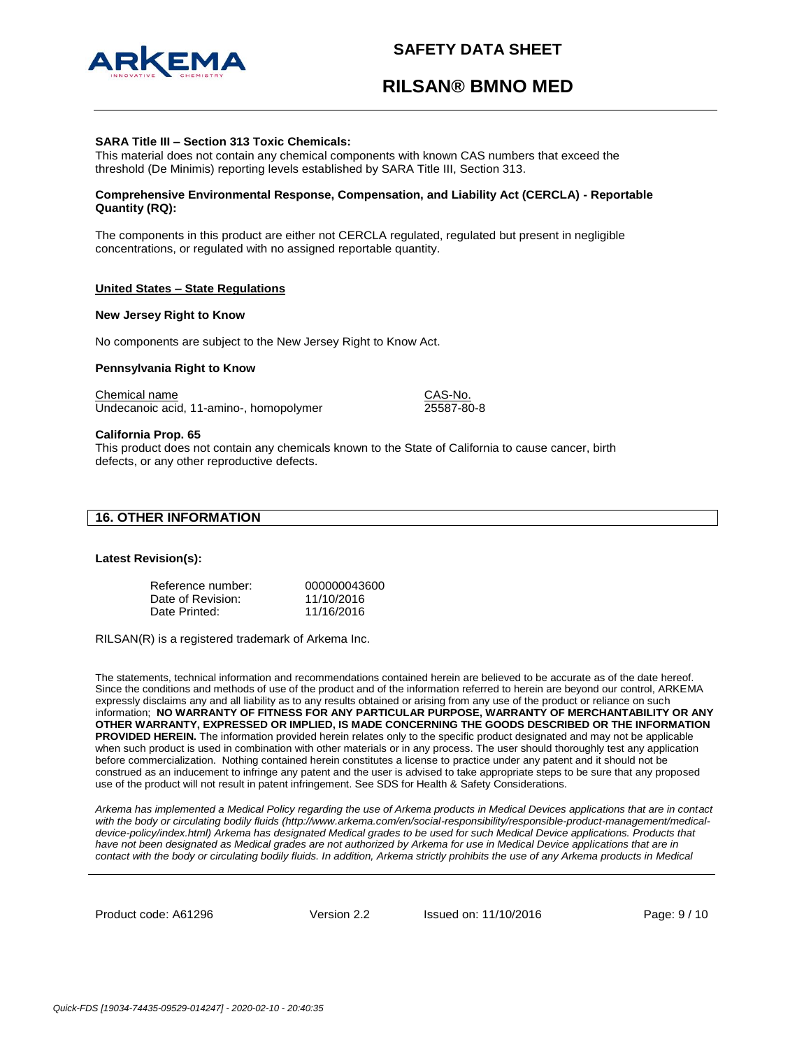



#### **SARA Title III – Section 313 Toxic Chemicals:**

This material does not contain any chemical components with known CAS numbers that exceed the threshold (De Minimis) reporting levels established by SARA Title III, Section 313.

#### **Comprehensive Environmental Response, Compensation, and Liability Act (CERCLA) - Reportable Quantity (RQ):**

The components in this product are either not CERCLA regulated, regulated but present in negligible concentrations, or regulated with no assigned reportable quantity.

#### **United States – State Regulations**

#### **New Jersey Right to Know**

No components are subject to the New Jersey Right to Know Act.

#### **Pennsylvania Right to Know**

Chemical name CAS-No. Undecanoic acid, 11-amino-, homopolymer 25587-80-8

#### **California Prop. 65**

This product does not contain any chemicals known to the State of California to cause cancer, birth defects, or any other reproductive defects.

| <b>16. OTHER INFORMATION</b> |  |  |
|------------------------------|--|--|
|------------------------------|--|--|

#### **Latest Revision(s):**

| Reference number: | 000000043600 |
|-------------------|--------------|
| Date of Revision: | 11/10/2016   |
| Date Printed:     | 11/16/2016   |

RILSAN(R) is a registered trademark of Arkema Inc.

The statements, technical information and recommendations contained herein are believed to be accurate as of the date hereof. Since the conditions and methods of use of the product and of the information referred to herein are beyond our control, ARKEMA expressly disclaims any and all liability as to any results obtained or arising from any use of the product or reliance on such information; **NO WARRANTY OF FITNESS FOR ANY PARTICULAR PURPOSE, WARRANTY OF MERCHANTABILITY OR ANY OTHER WARRANTY, EXPRESSED OR IMPLIED, IS MADE CONCERNING THE GOODS DESCRIBED OR THE INFORMATION PROVIDED HEREIN.** The information provided herein relates only to the specific product designated and may not be applicable when such product is used in combination with other materials or in any process. The user should thoroughly test any application before commercialization. Nothing contained herein constitutes a license to practice under any patent and it should not be construed as an inducement to infringe any patent and the user is advised to take appropriate steps to be sure that any proposed use of the product will not result in patent infringement. See SDS for Health & Safety Considerations.

*Arkema has implemented a Medical Policy regarding the use of Arkema products in Medical Devices applications that are in contact*  with the body or circulating bodily fluids (http://www.arkema.com/en/social-responsibility/responsible-product-management/medicaldevice-policy/index.html) Arkema has designated Medical grades to be used for such Medical Device applications. Products that *have not been designated as Medical grades are not authorized by Arkema for use in Medical Device applications that are in contact with the body or circulating bodily fluids. In addition, Arkema strictly prohibits the use of any Arkema products in Medical* 

Product code: A61296 Version 2.2 Issued on: 11/10/2016 Page: 9 / 10